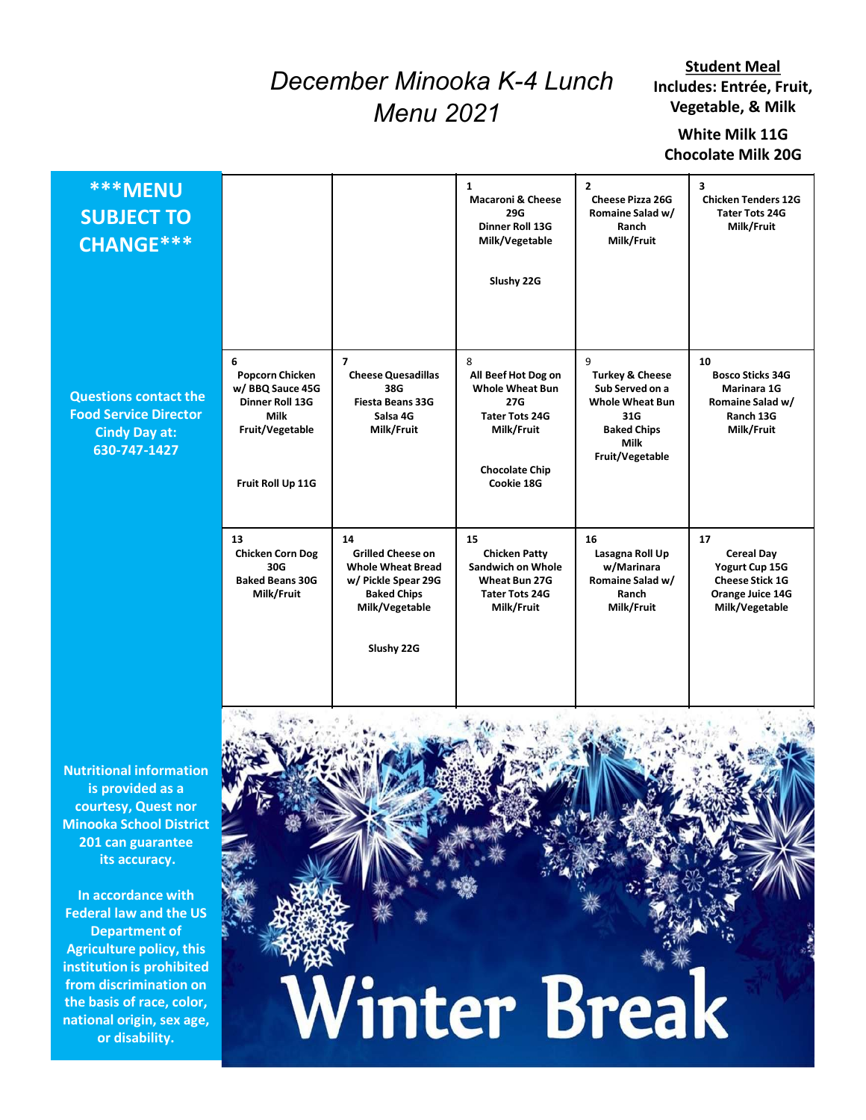## December Minooka K-4 Lunch Menu 2021

## White Milk 11G Chocolate Milk 20G

|                                                                                                      | <b>Student Meal</b><br>December Minooka K-4 Lunch<br>Includes: Entrée, Fruit,<br>Vegetable, & Milk<br><b>Menu 2021</b><br>White Milk 11G<br><b>Chocolate Milk 20G</b> |                                                                                                                                         |                                                                                                                                         |                                                                                                                                      |                                                                                                             |  |  |  |
|------------------------------------------------------------------------------------------------------|-----------------------------------------------------------------------------------------------------------------------------------------------------------------------|-----------------------------------------------------------------------------------------------------------------------------------------|-----------------------------------------------------------------------------------------------------------------------------------------|--------------------------------------------------------------------------------------------------------------------------------------|-------------------------------------------------------------------------------------------------------------|--|--|--|
| <b>***MENU</b><br><b>SUBJECT TO</b><br><b>CHANGE***</b>                                              |                                                                                                                                                                       |                                                                                                                                         | $\mathbf{1}$<br><b>Macaroni &amp; Cheese</b><br><b>29G</b><br>Dinner Roll 13G<br>Milk/Vegetable<br>Slushy 22G                           | $\overline{2}$<br>Cheese Pizza 26G<br>Romaine Salad w/<br>Ranch<br>Milk/Fruit                                                        | 3<br><b>Chicken Tenders 12G</b><br><b>Tater Tots 24G</b><br>Milk/Fruit                                      |  |  |  |
| <b>Questions contact the</b><br><b>Food Service Director</b><br><b>Cindy Day at:</b><br>630-747-1427 | 6<br><b>Popcorn Chicken</b><br>w/BBQ Sauce 45G<br>Dinner Roll 13G<br><b>Milk</b><br>Fruit/Vegetable<br>Fruit Roll Up 11G                                              | $\overline{7}$<br><b>Cheese Quesadillas</b><br>38G<br>Fiesta Beans 33G<br>Salsa 4G<br>Milk/Fruit                                        | 8<br>All Beef Hot Dog on<br><b>Whole Wheat Bun</b><br>27G<br><b>Tater Tots 24G</b><br>Milk/Fruit<br><b>Chocolate Chip</b><br>Cookie 18G | 9<br><b>Turkey &amp; Cheese</b><br>Sub Served on a<br><b>Whole Wheat Bun</b><br>31G<br><b>Baked Chips</b><br>Milk<br>Fruit/Vegetable | 10<br><b>Bosco Sticks 34G</b><br>Marinara 1G<br>Romaine Salad w/<br>Ranch 13G<br>Milk/Fruit                 |  |  |  |
|                                                                                                      | 13<br><b>Chicken Corn Dog</b><br>30G<br><b>Baked Beans 30G</b><br>Milk/Fruit                                                                                          | 14<br><b>Grilled Cheese on</b><br><b>Whole Wheat Bread</b><br>w/ Pickle Spear 29G<br><b>Baked Chips</b><br>Milk/Vegetable<br>Slushy 22G | 15<br><b>Chicken Patty</b><br><b>Sandwich on Whole</b><br>Wheat Bun 27G<br><b>Tater Tots 24G</b><br>Milk/Fruit                          | 16<br>Lasagna Roll Up<br>w/Marinara<br>Romaine Salad w/<br>Ranch<br>Milk/Fruit                                                       | $17$<br><b>Cereal Day</b><br>Yogurt Cup 15G<br><b>Cheese Stick 1G</b><br>Orange Juice 14G<br>Milk/Vegetable |  |  |  |

Nutritional information is provided as a courtesy, Quest nor Minooka School District 201 can guarantee its accuracy.

In accordance with Federal law and the US Department of Agriculture policy, this from discrimination on the basis of race, color, national origin, sex age, or disability.